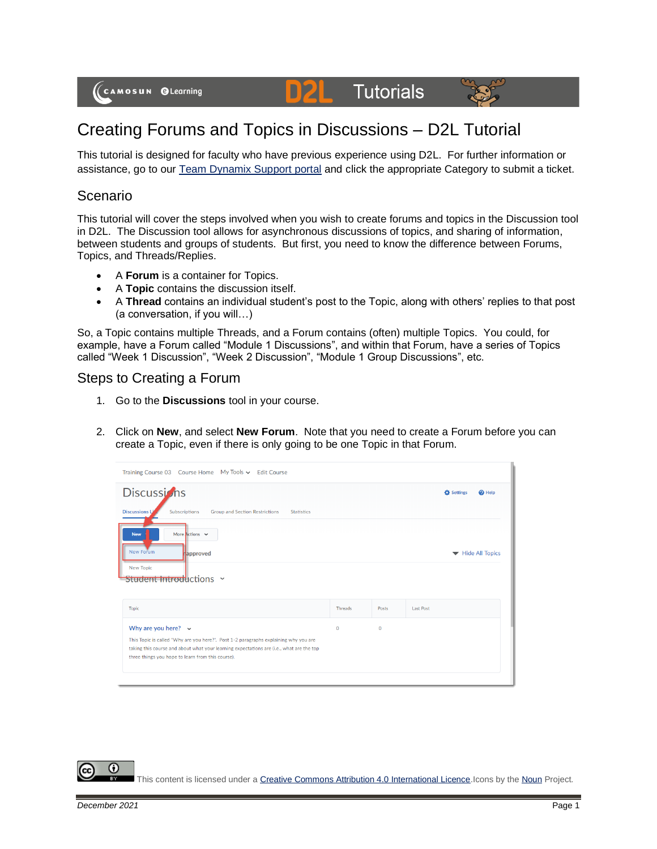#### **Tutorials**  $\mathbf{p}$



# Creating Forums and Topics in Discussions – D2L Tutorial

This tutorial is designed for faculty who have previous experience using D2L. For further information or assistance, go to our [Team Dynamix Support portal](https://camosun.teamdynamix.com/TDClient/67/Portal/Requests/ServiceCatalog?CategoryID=523) and click the appropriate Category to submit a ticket.

### Scenario

This tutorial will cover the steps involved when you wish to create forums and topics in the Discussion tool in D2L. The Discussion tool allows for asynchronous discussions of topics, and sharing of information, between students and groups of students. But first, you need to know the difference between Forums, Topics, and Threads/Replies.

- A **Forum** is a container for Topics.
- A **Topic** contains the discussion itself.
- A **Thread** contains an individual student's post to the Topic, along with others' replies to that post (a conversation, if you will…)

So, a Topic contains multiple Threads, and a Forum contains (often) multiple Topics. You could, for example, have a Forum called "Module 1 Discussions", and within that Forum, have a series of Topics called "Week 1 Discussion", "Week 2 Discussion", "Module 1 Group Discussions", etc.

#### Steps to Creating a Forum

- 1. Go to the **Discussions** tool in your course.
- 2. Click on **New**, and select **New Forum**. Note that you need to create a Forum before you can create a Topic, even if there is only going to be one Topic in that Forum.

| Training Course 03 Course Home My Tools v Edit Course                                                                                                                            |             |              |                  |               |
|----------------------------------------------------------------------------------------------------------------------------------------------------------------------------------|-------------|--------------|------------------|---------------|
| <b>Discussions</b>                                                                                                                                                               |             |              | Settings         | $\Theta$ Help |
| <b>Discussions Li</b><br>Subscriptions<br><b>Group and Section Restrictions</b><br><b>Statistics</b>                                                                             |             |              |                  |               |
| More Actions $\sim$<br><b>New</b>                                                                                                                                                |             |              |                  |               |
| New Forum<br>approved                                                                                                                                                            |             |              | Hide All Topics  |               |
| <b>New Topic</b><br>Student Introductions ×                                                                                                                                      |             |              |                  |               |
|                                                                                                                                                                                  |             |              |                  |               |
| <b>Topic</b>                                                                                                                                                                     | Threads     | Posts        | <b>Last Post</b> |               |
| Why are you here? $\sim$                                                                                                                                                         | $\mathbf 0$ | $\mathbf{0}$ |                  |               |
| This Topic is called "Why are you here?". Post 1-2 paragraphs explaining why you are<br>taking this course and about what your learning expectations are (i.e., what are the top |             |              |                  |               |
| three things you hope to learn from this course).                                                                                                                                |             |              |                  |               |
|                                                                                                                                                                                  |             |              |                  |               |

This content is licensed under [a Creative Commons Attribution 4.0 International Licence.I](https://creativecommons.org/licenses/by/4.0/)cons by th[e Noun](https://creativecommons.org/website-icons/) Project.

G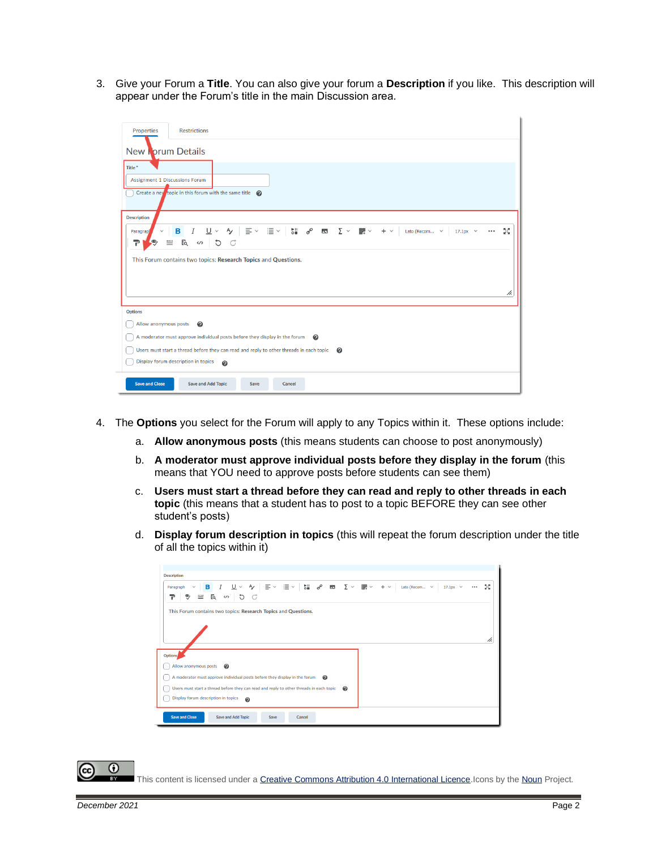3. Give your Forum a **Title**. You can also give your forum a **Description** if you like. This description will appear under the Forum's title in the main Discussion area.

| Properties<br><b>Restrictions</b>                                                                                                                                                                                                                                                                                                                                                                                                                                                 |  |  |  |  |  |  |  |
|-----------------------------------------------------------------------------------------------------------------------------------------------------------------------------------------------------------------------------------------------------------------------------------------------------------------------------------------------------------------------------------------------------------------------------------------------------------------------------------|--|--|--|--|--|--|--|
| New Forum Details                                                                                                                                                                                                                                                                                                                                                                                                                                                                 |  |  |  |  |  |  |  |
| Title <sup>*</sup>                                                                                                                                                                                                                                                                                                                                                                                                                                                                |  |  |  |  |  |  |  |
| <b>Assignment 1 Discussions Forum</b>                                                                                                                                                                                                                                                                                                                                                                                                                                             |  |  |  |  |  |  |  |
| Create a new topic in this forum with the same title $\bigcirc$                                                                                                                                                                                                                                                                                                                                                                                                                   |  |  |  |  |  |  |  |
| <b>Description</b>                                                                                                                                                                                                                                                                                                                                                                                                                                                                |  |  |  |  |  |  |  |
| $I$ $\cup$ $\vee$ $\rightarrow$ $\equiv$ $\vee$ $\equiv$ $\vee$ $\mid$ $\parallel$ $\parallel$ $\parallel$ $\parallel$ $\blacksquare$ $\triangleright$ $\equiv$ $\vee$ $\parallel$ $\equiv$ $\vee$ $\parallel$ $\equiv$ $\vee$ $\parallel$ $\equiv$ $\vee$ $\parallel$ $\equiv$ $\vee$ $\parallel$ $\equiv$ $\vee$ $\parallel$ $\equiv$ $\vee$ $\parallel$ $\equiv$ $\vee$ $\parallel$ $\equiv$ $\vee$<br>5š<br>в<br>$17.1px \sim$<br>$\checkmark$<br>$\cdots$<br><b>Paragrap</b> |  |  |  |  |  |  |  |
| E mbc<br>$\equiv$<br>P                                                                                                                                                                                                                                                                                                                                                                                                                                                            |  |  |  |  |  |  |  |
| This Forum contains two topics: Research Topics and Questions.                                                                                                                                                                                                                                                                                                                                                                                                                    |  |  |  |  |  |  |  |
|                                                                                                                                                                                                                                                                                                                                                                                                                                                                                   |  |  |  |  |  |  |  |
|                                                                                                                                                                                                                                                                                                                                                                                                                                                                                   |  |  |  |  |  |  |  |
| h,                                                                                                                                                                                                                                                                                                                                                                                                                                                                                |  |  |  |  |  |  |  |
| <b>Options</b>                                                                                                                                                                                                                                                                                                                                                                                                                                                                    |  |  |  |  |  |  |  |
| Allow anonymous posts<br>$\boldsymbol{\Omega}$                                                                                                                                                                                                                                                                                                                                                                                                                                    |  |  |  |  |  |  |  |
| A moderator must approve individual posts before they display in the forum<br>ℯ                                                                                                                                                                                                                                                                                                                                                                                                   |  |  |  |  |  |  |  |
| Users must start a thread before they can read and reply to other threads in each topic<br>◉                                                                                                                                                                                                                                                                                                                                                                                      |  |  |  |  |  |  |  |
| Display forum description in topics<br>$\boldsymbol{\Theta}$                                                                                                                                                                                                                                                                                                                                                                                                                      |  |  |  |  |  |  |  |
| <b>Save and Close</b><br><b>Save and Add Topic</b><br><b>Cancel</b><br>Save                                                                                                                                                                                                                                                                                                                                                                                                       |  |  |  |  |  |  |  |

- 4. The **Options** you select for the Forum will apply to any Topics within it. These options include:
	- a. **Allow anonymous posts** (this means students can choose to post anonymously)
	- b. **A moderator must approve individual posts before they display in the forum** (this means that YOU need to approve posts before students can see them)
	- c. **Users must start a thread before they can read and reply to other threads in each topic** (this means that a student has to post to a topic BEFORE they can see other student's posts)
	- d. **Display forum description in topics** (this will repeat the forum description under the title of all the topics within it)

| <b>Description</b>                                                                                                                                                                                  |    |  |  |  |  |
|-----------------------------------------------------------------------------------------------------------------------------------------------------------------------------------------------------|----|--|--|--|--|
| - ター 三〜 三〜<br><b>端∂ 図 ∑ ▽ 翻 ▽</b><br>в<br>$+$ $\times$<br>$\checkmark$<br>Lato (Recom ~<br>$17.1px \sim$<br>Paragraph<br>$\checkmark$<br>$\cdots$<br>≕<br>୭<br>Eq.<br>G<br>G<br>$\langle / \rangle$ | 5č |  |  |  |  |
| This Forum contains two topics: Research Topics and Questions.                                                                                                                                      |    |  |  |  |  |
|                                                                                                                                                                                                     |    |  |  |  |  |
|                                                                                                                                                                                                     | h. |  |  |  |  |
| Options,                                                                                                                                                                                            |    |  |  |  |  |
| Allow anonymous posts<br>ℯ                                                                                                                                                                          |    |  |  |  |  |
| A moderator must approve individual posts before they display in the forum<br>ℯ                                                                                                                     |    |  |  |  |  |
| Users must start a thread before they can read and reply to other threads in each topic<br>ℯ                                                                                                        |    |  |  |  |  |
| Display forum description in topics<br>$\boldsymbol{\Omega}$                                                                                                                                        |    |  |  |  |  |
| <b>Save and Close</b><br><b>Save and Add Topic</b><br>Cancel<br>Save                                                                                                                                |    |  |  |  |  |

0

This content is licensed under [a Creative Commons Attribution 4.0 International Licence.I](https://creativecommons.org/licenses/by/4.0/)cons by th[e Noun](https://creativecommons.org/website-icons/) Project.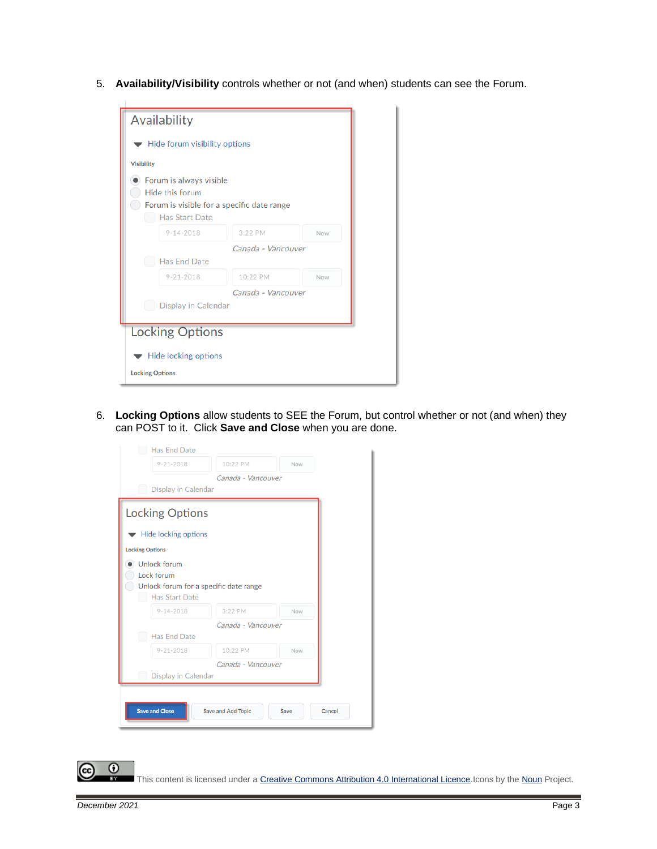5. **Availability/Visibility** controls whether or not (and when) students can see the Forum.

| Availability                                                                                                      |                    |     |  |  |
|-------------------------------------------------------------------------------------------------------------------|--------------------|-----|--|--|
| Hide forum visibility options                                                                                     |                    |     |  |  |
| <b>Visibility</b>                                                                                                 |                    |     |  |  |
| Forum is always visible<br>Hide this forum<br>Forum is visible for a specific date range<br><b>Has Start Date</b> |                    |     |  |  |
| $9 - 14 - 2018$                                                                                                   | 3:22 PM            | Now |  |  |
| Has End Date                                                                                                      | Canada - Vancouver |     |  |  |
| $9 - 21 - 2018$                                                                                                   | 10:22 PM           | Now |  |  |
| Canada - Vancouver<br>Display in Calendar                                                                         |                    |     |  |  |
| <b>Locking Options</b>                                                                                            |                    |     |  |  |
| Hide locking options<br><b>Locking Options</b>                                                                    |                    |     |  |  |

6. **Locking Options** allow students to SEE the Forum, but control whether or not (and when) they can POST to it. Click **Save and Close** when you are done.

|                        | $9 - 21 - 2018$                        | 10:22 PM<br>Canada - Vancouver | Now |  |
|------------------------|----------------------------------------|--------------------------------|-----|--|
|                        | Display in Calendar                    |                                |     |  |
|                        | <b>Locking Options</b>                 |                                |     |  |
|                        |                                        |                                |     |  |
|                        | Hide locking options                   |                                |     |  |
| <b>Locking Options</b> |                                        |                                |     |  |
|                        | <b>Unlock forum</b>                    |                                |     |  |
|                        | Lock forum                             |                                |     |  |
|                        |                                        |                                |     |  |
|                        | Unlock forum for a specific date range |                                |     |  |
|                        | <b>Has Start Date</b>                  |                                |     |  |
|                        | $9 - 14 - 2018$                        | 3:22 PM                        | Now |  |
|                        |                                        | Canada - Vancouver             |     |  |
|                        | <b>Has End Date</b>                    |                                |     |  |
|                        | $9 - 21 - 2018$                        | 10:22 PM                       | Now |  |
|                        | Display in Calendar                    | Canada - Vancouver             |     |  |

This content is licensed under a Creative Commons Attribution 4.0 International Licence. Icons by th[e Noun](https://creativecommons.org/website-icons/) Project.

 $\odot$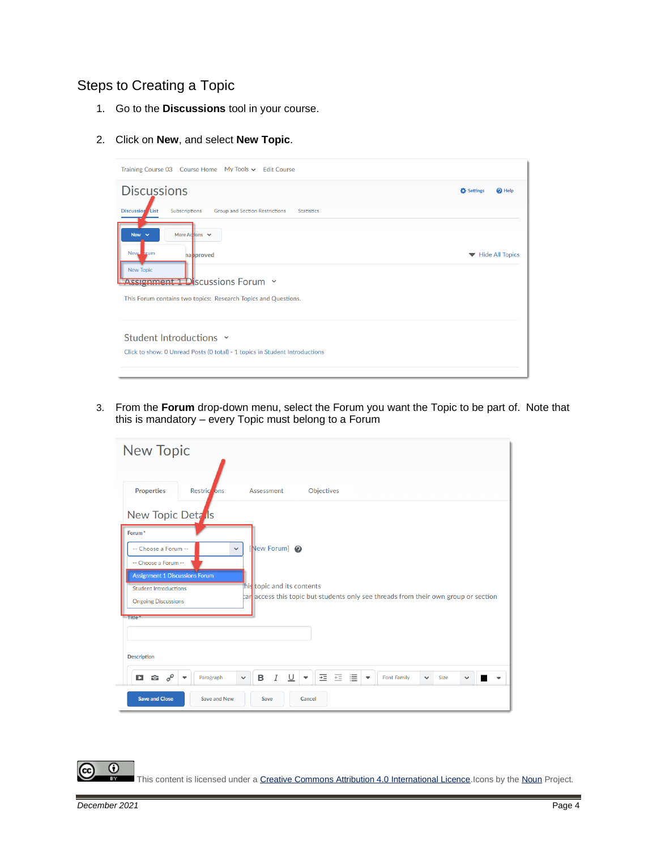## Steps to Creating a Topic

- 1. Go to the **Discussions** tool in your course.
- 2. Click on **New**, and select **New Topic**.

| Training Course 03 Course Home My Tools v Edit Course                                                 |                           |
|-------------------------------------------------------------------------------------------------------|---------------------------|
| <b>Discussions</b>                                                                                    | Settings<br>$\Theta$ Help |
| Subscriptions<br><b>Discussion</b> List<br><b>Group and Section Restrictions</b><br><b>Statistics</b> |                           |
| New $\sim$<br>More Actions $\vee$                                                                     |                           |
| New hrum<br><b>napproved</b>                                                                          | Hide All Topics           |
| <b>New Topic</b><br>Assignment 1 Discussions Forum v                                                  |                           |
| This Forum contains two topics: Research Topics and Questions.                                        |                           |
| Student Introductions Y                                                                               |                           |
| Click to show: 0 Unread Posts (0 total) - 1 topics in Student Introductions                           |                           |
|                                                                                                       |                           |

3. From the **Forum** drop-down menu, select the Forum you want the Topic to be part of. Note that this is mandatory – every Topic must belong to a Forum

| <b>New Topic</b>                                                                                                                                                                                                                                                                                                                                                          |
|---------------------------------------------------------------------------------------------------------------------------------------------------------------------------------------------------------------------------------------------------------------------------------------------------------------------------------------------------------------------------|
| <b>Properties</b><br>Objectives<br>Assessment<br><b>Restric</b> ons                                                                                                                                                                                                                                                                                                       |
| New Topic Detals<br>Forum <sup>*</sup><br>[New Forum] @<br>-- Choose a Forum --<br>$\checkmark$<br>-- Choose a Forum --<br><b>Assignment 1 Discussions Forum</b><br>his topic and its contents<br><b>Student Introductions</b><br>car access this topic but students only see threads from their own group or section<br><b>Ongoing Discussions</b><br>Title <sup>*</sup> |
| <b>Description</b><br>西西津<br>$\mathbf{\hat{w}}$ $\sigma^{\rho}$<br>в<br>I<br>∪<br>D<br><b>Font Family</b><br>Paragraph<br>Size<br>$\checkmark$<br>$\overline{\phantom{a}}$<br>$\checkmark$<br>$\checkmark$<br>▼                                                                                                                                                           |
| <b>Save and Close</b><br>Save and New<br>Cancel<br>Save                                                                                                                                                                                                                                                                                                                   |

 $\odot$ This content is licensed under a Creative Commons Attribution 4.0 International Licence. Icons by th[e Noun](https://creativecommons.org/website-icons/) Project.